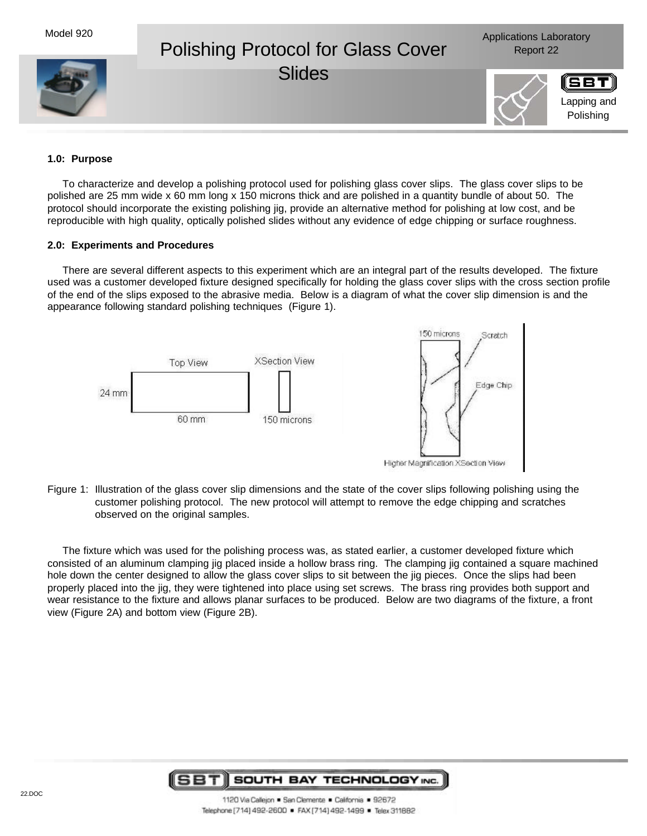

### **1.0: Purpose**

To characterize and develop a polishing protocol used for polishing glass cover slips. The glass cover slips to be polished are 25 mm wide x 60 mm long x 150 microns thick and are polished in a quantity bundle of about 50. The protocol should incorporate the existing polishing jig, provide an alternative method for polishing at low cost, and be reproducible with high quality, optically polished slides without any evidence of edge chipping or surface roughness.

### **2.0: Experiments and Procedures**

There are several different aspects to this experiment which are an integral part of the results developed. The fixture used was a customer developed fixture designed specifically for holding the glass cover slips with the cross section profile of the end of the slips exposed to the abrasive media. Below is a diagram of what the cover slip dimension is and the appearance following standard polishing techniques (Figure 1).



Figure 1: Illustration of the glass cover slip dimensions and the state of the cover slips following polishing using the customer polishing protocol. The new protocol will attempt to remove the edge chipping and scratches observed on the original samples.

The fixture which was used for the polishing process was, as stated earlier, a customer developed fixture which consisted of an aluminum clamping jig placed inside a hollow brass ring. The clamping jig contained a square machined hole down the center designed to allow the glass cover slips to sit between the jig pieces. Once the slips had been properly placed into the jig, they were tightened into place using set screws. The brass ring provides both support and wear resistance to the fixture and allows planar surfaces to be produced. Below are two diagrams of the fixture, a front view (Figure 2A) and bottom view (Figure 2B).

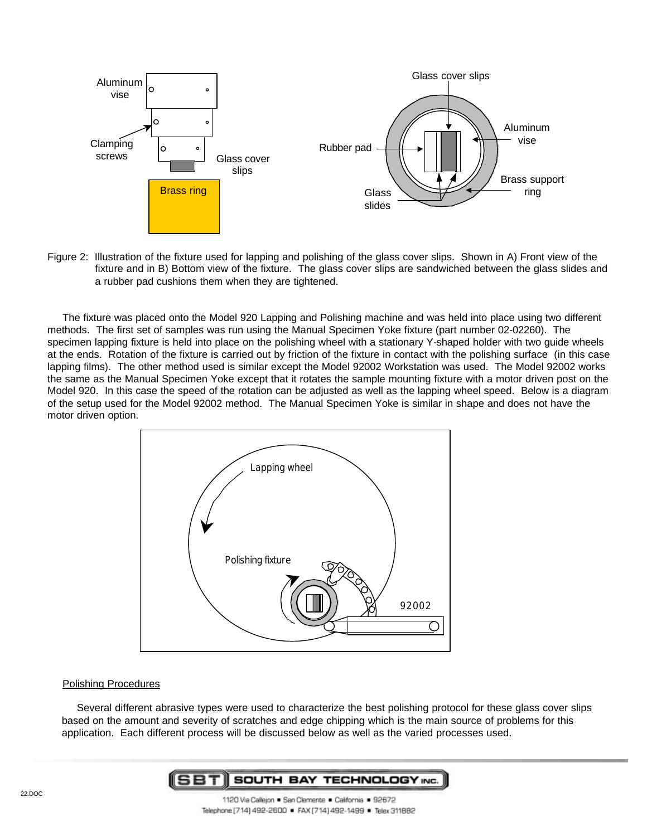

Figure 2: Illustration of the fixture used for lapping and polishing of the glass cover slips. Shown in A) Front view of the fixture and in B) Bottom view of the fixture. The glass cover slips are sandwiched between the glass slides and a rubber pad cushions them when they are tightened.

The fixture was placed onto the Model 920 Lapping and Polishing machine and was held into place using two different methods. The first set of samples was run using the Manual Specimen Yoke fixture (part number 02-02260). The specimen lapping fixture is held into place on the polishing wheel with a stationary Y-shaped holder with two guide wheels at the ends. Rotation of the fixture is carried out by friction of the fixture in contact with the polishing surface (in this case lapping films). The other method used is similar except the Model 92002 Workstation was used. The Model 92002 works the same as the Manual Specimen Yoke except that it rotates the sample mounting fixture with a motor driven post on the Model 920. In this case the speed of the rotation can be adjusted as well as the lapping wheel speed. Below is a diagram of the setup used for the Model 92002 method. The Manual Specimen Yoke is similar in shape and does not have the motor driven option.



### Polishing Procedures

Several different abrasive types were used to characterize the best polishing protocol for these glass cover slips based on the amount and severity of scratches and edge chipping which is the main source of problems for this application. Each different process will be discussed below as well as the varied processes used.